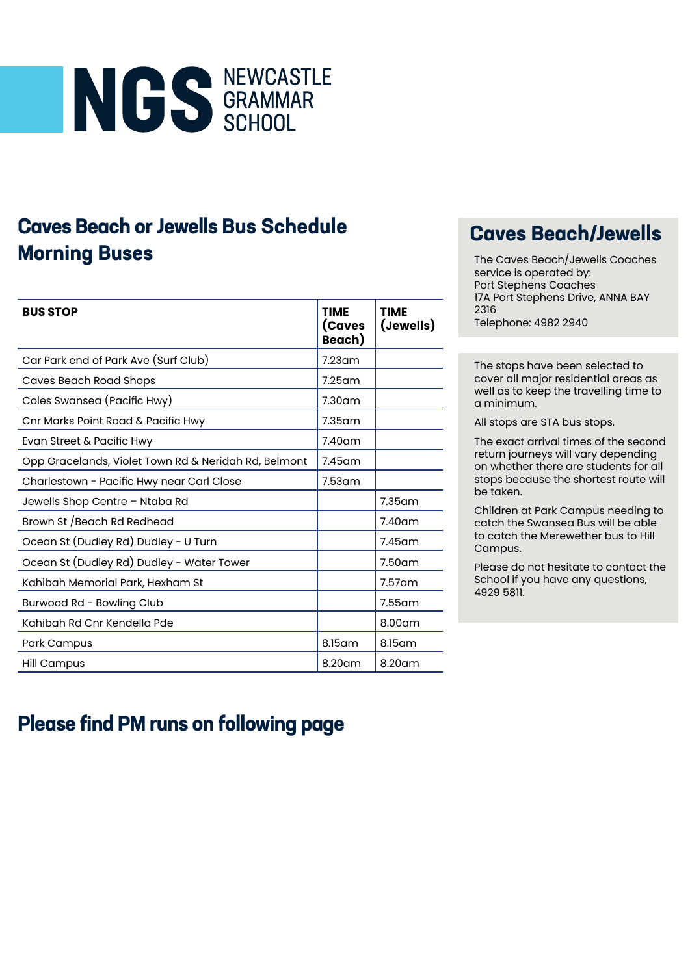

## **Caves Beach or Jewells Bus Schedule Morning Buses**

| <b>BUS STOP</b>                                      | <b>TIME</b><br>(Caves<br>Beach) | <b>TIME</b><br>(Jewells) |
|------------------------------------------------------|---------------------------------|--------------------------|
| Car Park end of Park Ave (Surf Club)                 | $7.23$ am                       |                          |
| <b>Caves Beach Road Shops</b>                        | $7.25$ am                       |                          |
| Coles Swansea (Pacific Hwy)                          | 7.30 <sub>am</sub>              |                          |
| Cnr Marks Point Road & Pacific Hwy                   | $7.35$ am                       |                          |
| Evan Street & Pacific Hwy                            | $7.40$ am                       |                          |
| Opp Gracelands, Violet Town Rd & Neridah Rd, Belmont | $7.45$ am                       |                          |
| Charlestown - Pacific Hwy near Carl Close            | 7.53 <sub>am</sub>              |                          |
| Jewells Shop Centre - Ntaba Rd                       |                                 | $7.35$ am                |
| Brown St / Beach Rd Redhead                          |                                 | $7.40$ am                |
| Ocean St (Dudley Rd) Dudley - U Turn                 |                                 | $7.45$ am                |
| Ocean St (Dudley Rd) Dudley - Water Tower            |                                 | 7.50 am                  |
| Kahibah Memorial Park, Hexham St                     |                                 | $7.57$ am                |
| Burwood Rd - Bowling Club                            |                                 | $7.55$ am                |
| Kahibah Rd Cnr Kendella Pde                          |                                 | $8.00$ am                |
| Park Campus                                          | 8.15am                          | 8.15 am                  |
| <b>Hill Campus</b>                                   | 8.20am                          | 8.20am                   |

## **Caves Beach/Jewells**

The Caves Beach/Jewells Coaches service is operated by: Port Stephens Coaches 17A Port Stephens Drive, ANNA BAY 2316 Telephone: 4982 2940

The stops have been selected to cover all major residential areas as well as to keep the travelling time to a minimum.

All stops are STA bus stops.

The exact arrival times of the second return journeys will vary depending on whether there are students for all stops because the shortest route will be taken.

Children at Park Campus needing to catch the Swansea Bus will be able to catch the Merewether bus to Hill Campus.

Please do not hesitate to contact the School if you have any questions, 4929 5811.

## **Please find PM runs on following page**